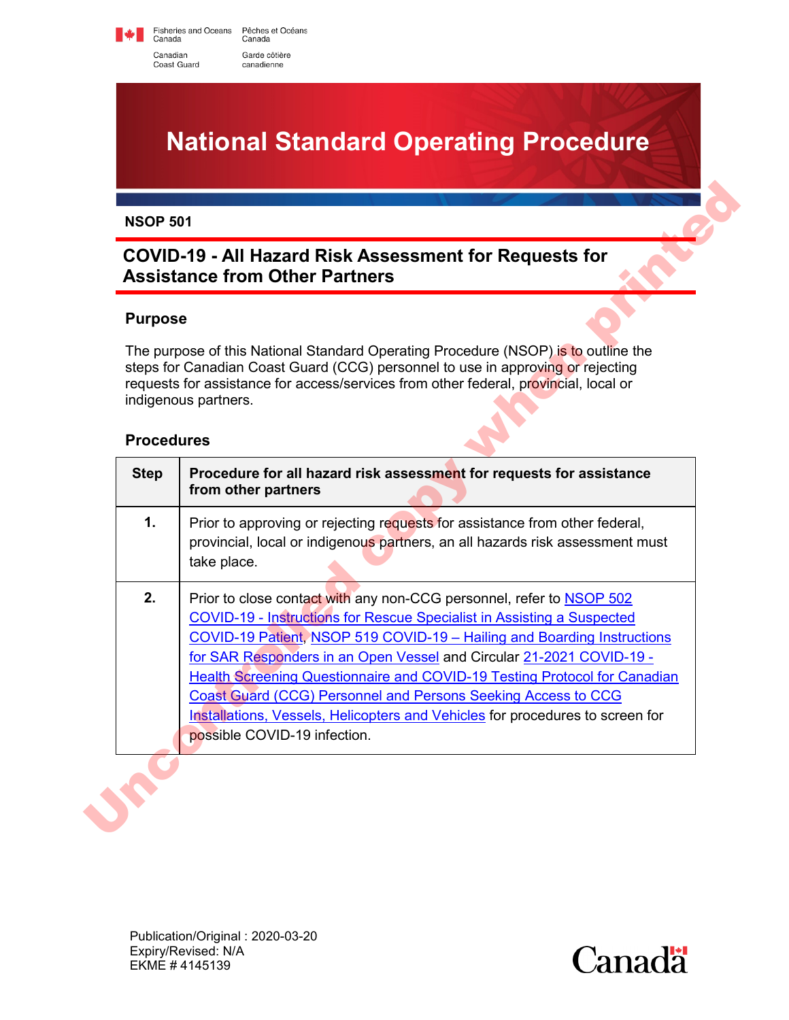Fisheries and Oceans Pêches et Océans<br>Canada Canada Canadian Garde côtière canadienne

Coast Guard

# **National Standard Operating Procedure**

# **COVID-19 - All Hazard Risk Assessment for Requests for Assistance from Other Partners**

#### **Purpose**

#### **Procedures**

|                   | <b>COVID-19 - All Hazard Risk Assessment for Requests for</b><br><b>Assistance from Other Partners</b>                                                                                                                                                                                                                                                                                |
|-------------------|---------------------------------------------------------------------------------------------------------------------------------------------------------------------------------------------------------------------------------------------------------------------------------------------------------------------------------------------------------------------------------------|
| <b>Purpose</b>    |                                                                                                                                                                                                                                                                                                                                                                                       |
| <b>Procedures</b> | The purpose of this National Standard Operating Procedure (NSOP) is to outline the<br>steps for Canadian Coast Guard (CCG) personnel to use in approving or rejecting<br>requests for assistance for access/services from other federal, provincial, local or<br>indigenous partners.                                                                                                 |
| <b>Step</b>       | Procedure for all hazard risk assessment for requests for assistance<br>from other partners                                                                                                                                                                                                                                                                                           |
| $\mathbf 1$ .     | Prior to approving or rejecting requests for assistance from other federal,<br>provincial, local or indigenous partners, an all hazards risk assessment must<br>take place.                                                                                                                                                                                                           |
| 2.                | Prior to close contact with any non-CCG personnel, refer to NSOP 502<br><b>COVID-19 - Instructions for Rescue Specialist in Assisting a Suspected</b><br>COVID-19 Patient, NSOP 519 COVID-19 - Hailing and Boarding Instructions<br>for SAR Responders in an Open Vessel and Circular 21-2021 COVID-19 -<br>Health Screening Questionnaire and COVID-19 Testing Protocol for Canadian |

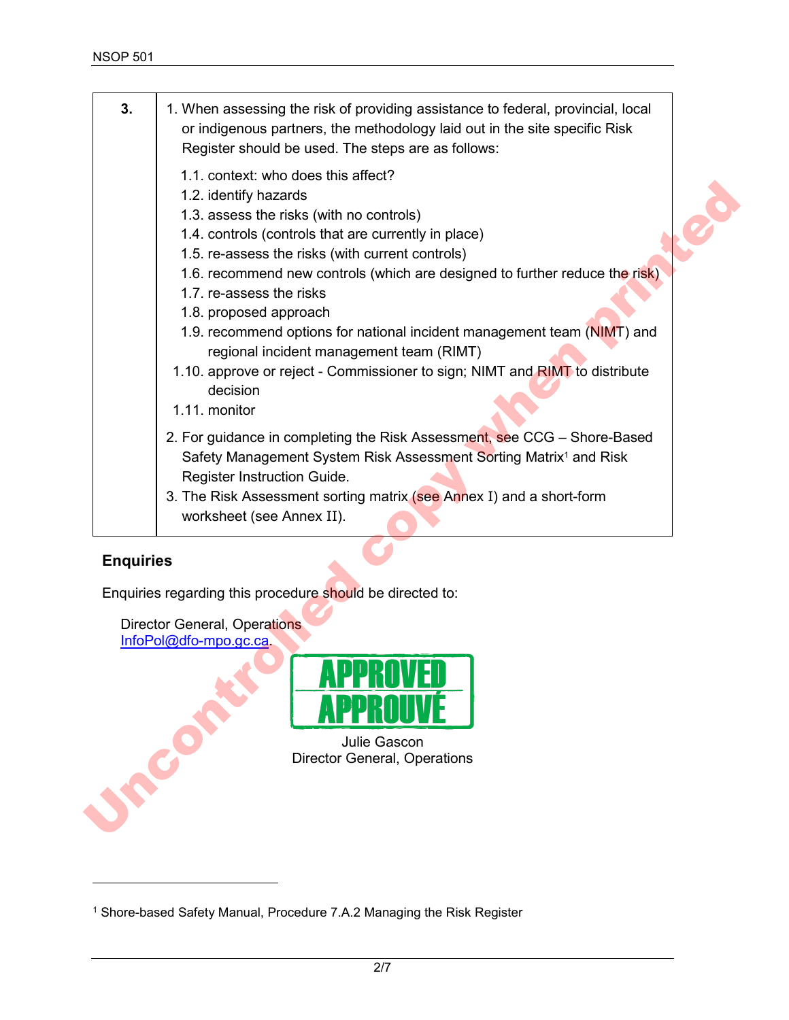| 3.               | 1. When assessing the risk of providing assistance to federal, provincial, local<br>or indigenous partners, the methodology laid out in the site specific Risk<br>Register should be used. The steps are as follows:                                                                                                                                                                                                                                                                                                                                                                         |
|------------------|----------------------------------------------------------------------------------------------------------------------------------------------------------------------------------------------------------------------------------------------------------------------------------------------------------------------------------------------------------------------------------------------------------------------------------------------------------------------------------------------------------------------------------------------------------------------------------------------|
|                  | 1.1. context: who does this affect?<br>1.2. identify hazards<br>1.3. assess the risks (with no controls)<br>1.4. controls (controls that are currently in place)<br>1.5. re-assess the risks (with current controls)<br>1.6. recommend new controls (which are designed to further reduce the risk)<br>1.7. re-assess the risks<br>1.8. proposed approach<br>1.9. recommend options for national incident management team (NIMT) and<br>regional incident management team (RIMT)<br>1.10. approve or reject - Commissioner to sign; NIMT and RIMT to distribute<br>decision<br>1.11. monitor |
|                  | 2. For guidance in completing the Risk Assessment, see CCG - Shore-Based<br>Safety Management System Risk Assessment Sorting Matrix <sup>1</sup> and Risk<br>Register Instruction Guide.<br>3. The Risk Assessment sorting matrix (see Annex I) and a short-form<br>worksheet (see Annex II).                                                                                                                                                                                                                                                                                                |
| <b>Enquiries</b> | Enquiries regarding this procedure should be directed to:<br><b>Director General, Operations</b><br>InfoPol@dfo-mpo.gc.ca.                                                                                                                                                                                                                                                                                                                                                                                                                                                                   |
|                  | APPROVEI<br><b>APPRAILVE</b><br><b>Julie Gascon</b><br><b>Director General, Operations</b>                                                                                                                                                                                                                                                                                                                                                                                                                                                                                                   |

## **Enquiries**

 $\overline{a}$ 



Julie Gascon Director General, Operations

<sup>&</sup>lt;sup>1</sup> Shore-based Safety Manual, Procedure 7.A.2 Managing the Risk Register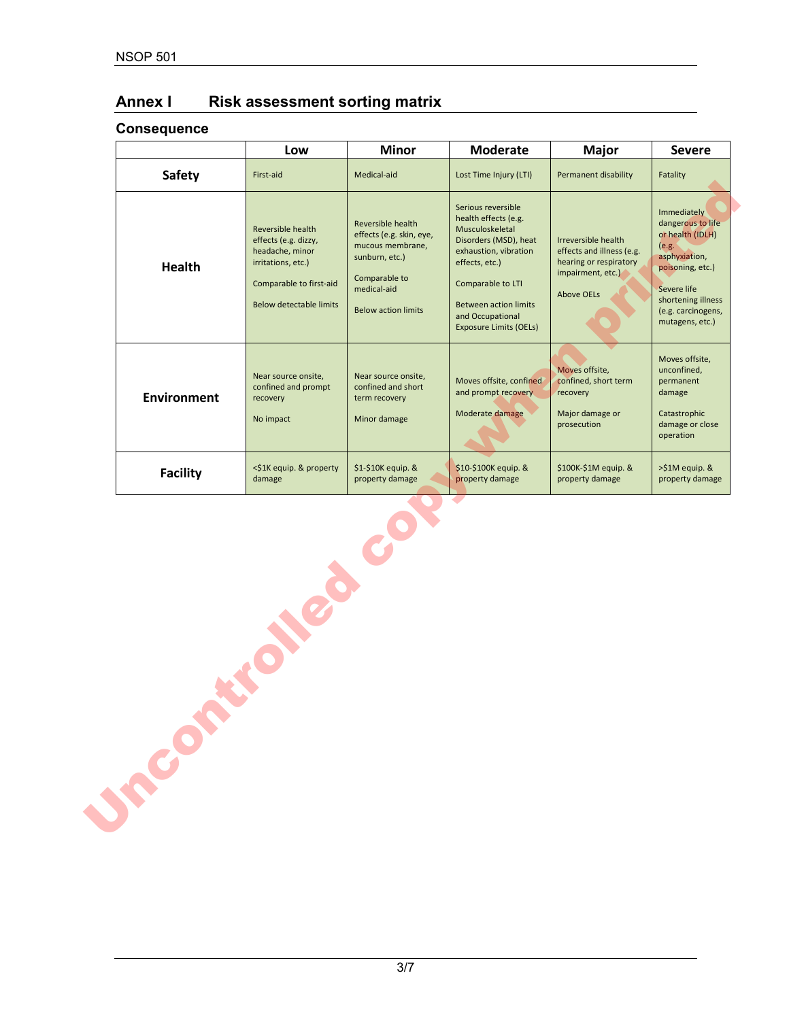# **Annex I Risk assessment sorting matrix**

### **Consequence**

| <b>Safety</b><br>First-aid<br><b>Health</b> | Reversible health<br>effects (e.g. dizzy,<br>headache, minor<br>irritations, etc.) | Medical-aid<br>Reversible health<br>effects (e.g. skin, eye,                                     | Lost Time Injury (LTI)<br>Serious reversible                                                                                                                                                                          | <b>Permanent disability</b>                                                                                          | Fatality                                                                                                                                                                         |
|---------------------------------------------|------------------------------------------------------------------------------------|--------------------------------------------------------------------------------------------------|-----------------------------------------------------------------------------------------------------------------------------------------------------------------------------------------------------------------------|----------------------------------------------------------------------------------------------------------------------|----------------------------------------------------------------------------------------------------------------------------------------------------------------------------------|
|                                             |                                                                                    |                                                                                                  |                                                                                                                                                                                                                       |                                                                                                                      |                                                                                                                                                                                  |
|                                             | Comparable to first-aid<br><b>Below detectable limits</b>                          | mucous membrane,<br>sunburn, etc.)<br>Comparable to<br>medical-aid<br><b>Below action limits</b> | health effects (e.g.<br>Musculoskeletal<br>Disorders (MSD), heat<br>exhaustion, vibration<br>effects, etc.)<br>Comparable to LTI<br><b>Between action limits</b><br>and Occupational<br><b>Exposure Limits (OELs)</b> | Irreversible health<br>effects and illness (e.g.<br>hearing or respiratory<br>impairment, etc.)<br><b>Above OELs</b> | Immediately<br>dangerous to life<br>or health (IDLH)<br>(e.g.<br>asphyxiation,<br>poisoning, etc.)<br>Severe life<br>shortening illness<br>(e.g. carcinogens,<br>mutagens, etc.) |
| <b>Environment</b><br>recovery<br>No impact | Near source onsite,<br>confined and prompt                                         | Near source onsite,<br>confined and short<br>term recovery<br>Minor damage                       | Moves offsite, confined<br>and prompt recovery<br>Moderate damage                                                                                                                                                     | Moves offsite,<br>confined, short term<br>recovery<br>Major damage or<br>prosecution                                 | Moves offsite,<br>unconfined,<br>permanent<br>damage<br>Catastrophic<br>damage or close<br>operation                                                                             |
| <b>Facility</b><br>damage                   | <\$1K equip. & property                                                            | \$1-\$10K equip. &<br>property damage                                                            | \$10-\$100K equip. &<br>property damage                                                                                                                                                                               | \$100K-\$1M equip. &<br>property damage                                                                              | >\$1M equip. &<br>property damage                                                                                                                                                |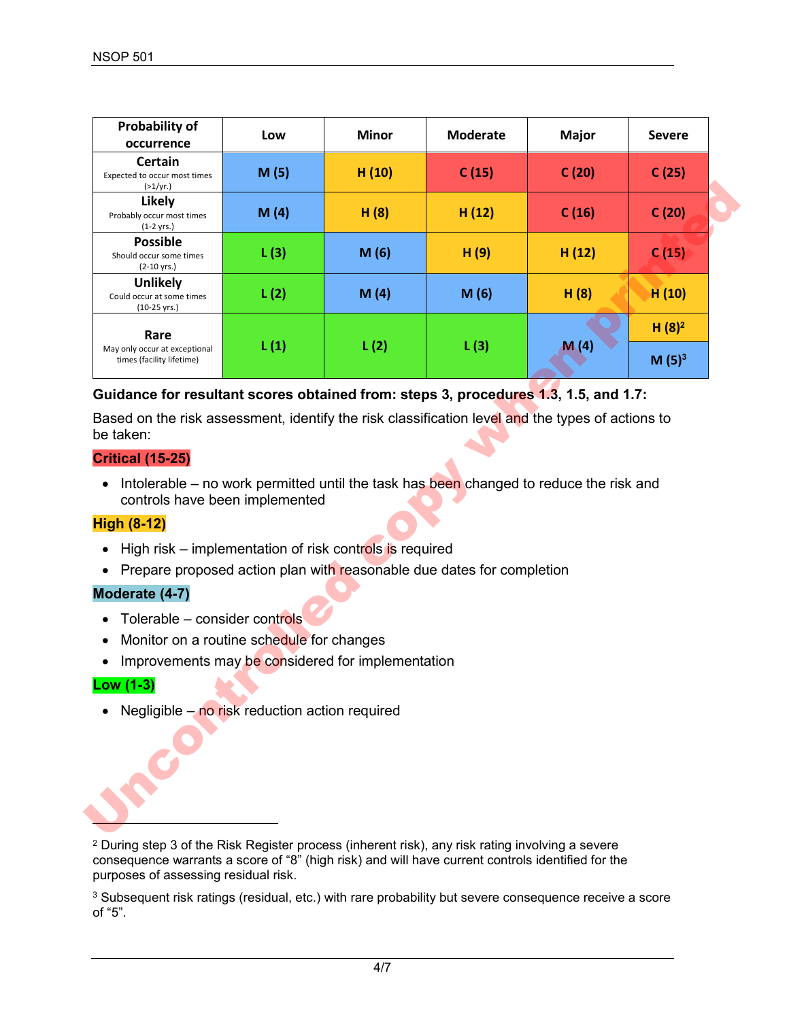| <b>Probability of</b><br>occurrence                                                | Low                                               | <b>Minor</b> | <b>Moderate</b> | <b>Major</b> | <b>Severe</b>     |
|------------------------------------------------------------------------------------|---------------------------------------------------|--------------|-----------------|--------------|-------------------|
| <b>Certain</b><br>Expected to occur most times<br>(>1/yr.)                         | M(5)                                              | H (10)       | C(15)           | C(20)        | C(25)             |
| Likely<br>Probably occur most times<br>$(1-2 \text{ yrs.})$                        | M(4)                                              | H(8)         | H(12)           | C(16)        | C(20)             |
| <b>Possible</b><br>Should occur some times<br>$(2-10 \text{ yrs.})$                | L(3)                                              | M(6)         | H(9)            | H(12)        | C(15)             |
| <b>Unlikely</b><br>Could occur at some times<br>$(10-25 \text{ yrs.})$             | L(2)                                              | M(4)         | M(6)            | H(8)         | H(10)             |
| Rare                                                                               |                                                   |              |                 |              | H(8) <sup>2</sup> |
| May only occur at exceptional<br>times (facility lifetime)                         | L(1)                                              | L(2)         | L(3)            | M(4)         | M(5) <sup>3</sup> |
| <b>High (8-12)</b><br>High risk – implementation of risk controls is required<br>٠ |                                                   |              |                 |              |                   |
|                                                                                    |                                                   |              |                 |              |                   |
| Prepare proposed action plan with reasonable due dates for completion              |                                                   |              |                 |              |                   |
| Moderate (4-7)                                                                     |                                                   |              |                 |              |                   |
| Tolerable - consider controls                                                      |                                                   |              |                 |              |                   |
| Monitor on a routine schedule for changes<br>٠<br>$\bullet$                        |                                                   |              |                 |              |                   |
|                                                                                    |                                                   |              |                 |              |                   |
| Low (1-3)                                                                          | Improvements may be considered for implementation |              |                 |              |                   |
| Negligible - no risk reduction action required                                     |                                                   |              |                 |              |                   |
|                                                                                    |                                                   |              |                 |              |                   |
|                                                                                    |                                                   |              |                 |              |                   |
|                                                                                    |                                                   |              |                 |              |                   |

#### **Guidance for resultant scores obtained from: steps 3, procedures 1.3, 1.5, and 1.7:**

#### **Critical (15-25)**

#### **High (8-12)**

- High risk implementation of risk controls is required
- Prepare proposed action plan with reasonable due dates for completion

#### **Moderate (4-7)**

- Tolerable consider controls
- Monitor on a routine schedule for changes
- Improvements may be considered for implementation

#### **Low (1-3)**

<sup>2</sup> During step 3 of the Risk Register process (inherent risk), any risk rating involving a severe consequence warrants a score of "8" (high risk) and will have current controls identified for the purposes of assessing residual risk.

<span id="page-3-0"></span><sup>3</sup> Subsequent risk ratings (residual, etc.) with rare probability but severe consequence receive a score of "5".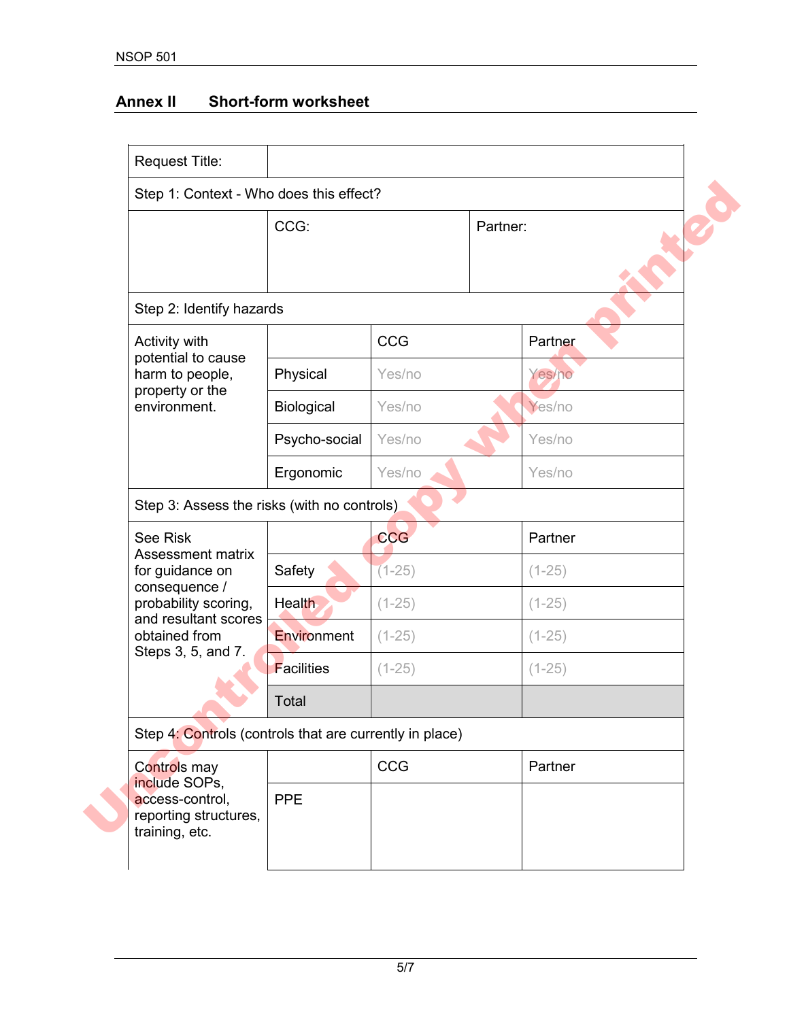## **Annex II Short-form worksheet**

| CCG:                     |            | Partner:                                                                                               |  |
|--------------------------|------------|--------------------------------------------------------------------------------------------------------|--|
|                          |            |                                                                                                        |  |
| Step 2: Identify hazards |            |                                                                                                        |  |
|                          | <b>CCG</b> | Partner                                                                                                |  |
| Physical                 | Yes/no     | Yes/no                                                                                                 |  |
| Biological               | Yes/no     | Yes/no                                                                                                 |  |
| Psycho-social            | Yes/no     | Yes/no                                                                                                 |  |
| Ergonomic                | Yes/no     | Yes/no                                                                                                 |  |
|                          |            |                                                                                                        |  |
|                          | <b>CCG</b> | Partner                                                                                                |  |
| Safety                   | $(1-25)$   | $(1-25)$                                                                                               |  |
| Health                   | $(1 - 25)$ | $(1 - 25)$                                                                                             |  |
| Environment              | $(1-25)$   | $(1-25)$                                                                                               |  |
| <b>Facilities</b>        | $(1-25)$   | $(1-25)$                                                                                               |  |
| Total                    |            |                                                                                                        |  |
|                          |            |                                                                                                        |  |
|                          | CCG        | Partner                                                                                                |  |
| <b>PPE</b>               |            |                                                                                                        |  |
|                          |            | Step 3: Assess the risks (with no controls)<br>Step 4: Controls (controls that are currently in place) |  |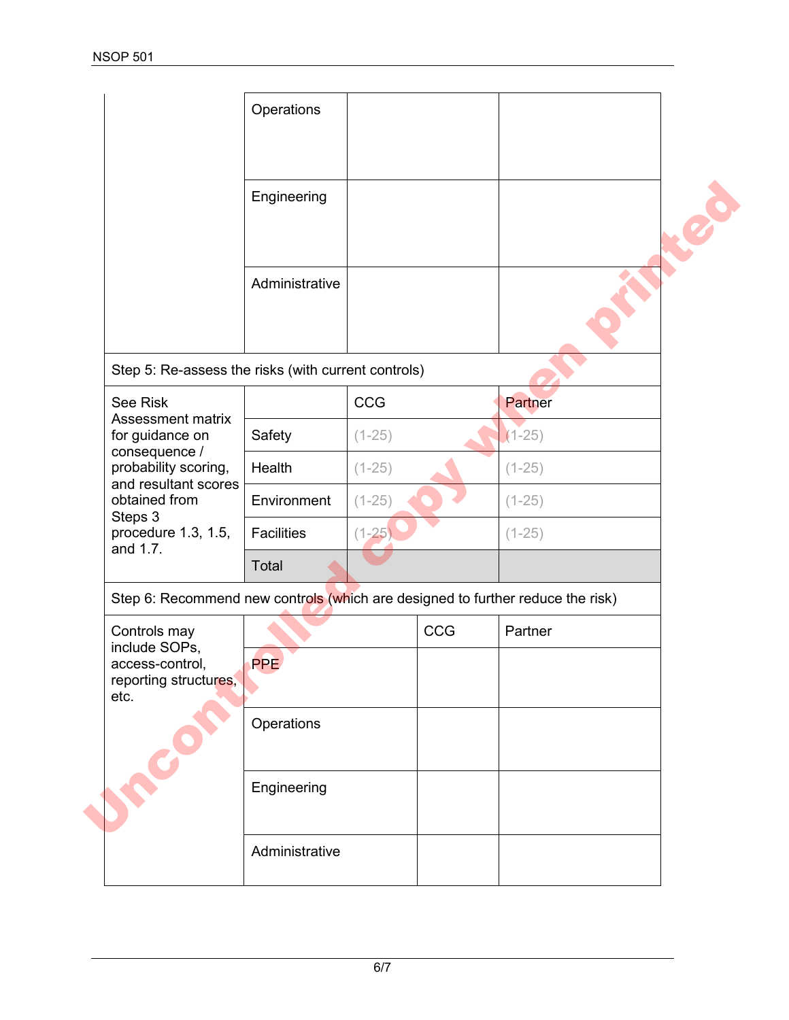|                                                                                | Operations     |          |     |          |
|--------------------------------------------------------------------------------|----------------|----------|-----|----------|
|                                                                                | Engineering    |          |     |          |
|                                                                                | Administrative |          |     |          |
| Step 5: Re-assess the risks (with current controls)                            |                |          |     |          |
| See Risk<br><b>Assessment matrix</b>                                           |                | CCG      |     | Partner  |
| for guidance on                                                                | Safety         | $(1-25)$ |     | $(1-25)$ |
| consequence /<br>probability scoring,<br>and resultant scores                  | Health         | $(1-25)$ |     | $(1-25)$ |
| obtained from<br>Steps 3                                                       | Environment    | $(1-25)$ |     | $(1-25)$ |
| procedure 1.3, 1.5,<br>and 1.7.                                                | Facilities     | $(1-25)$ |     | $(1-25)$ |
|                                                                                | Total          |          |     |          |
| Step 6: Recommend new controls (which are designed to further reduce the risk) |                |          |     |          |
| Controls may<br>include SOPs,                                                  |                |          | CCG | Partner  |
| access-control.<br>reporting structures,<br>etc.                               | <b>PPE</b>     |          |     |          |
|                                                                                | Operations     |          |     |          |
|                                                                                | Engineering    |          |     |          |
|                                                                                | Administrative |          |     |          |